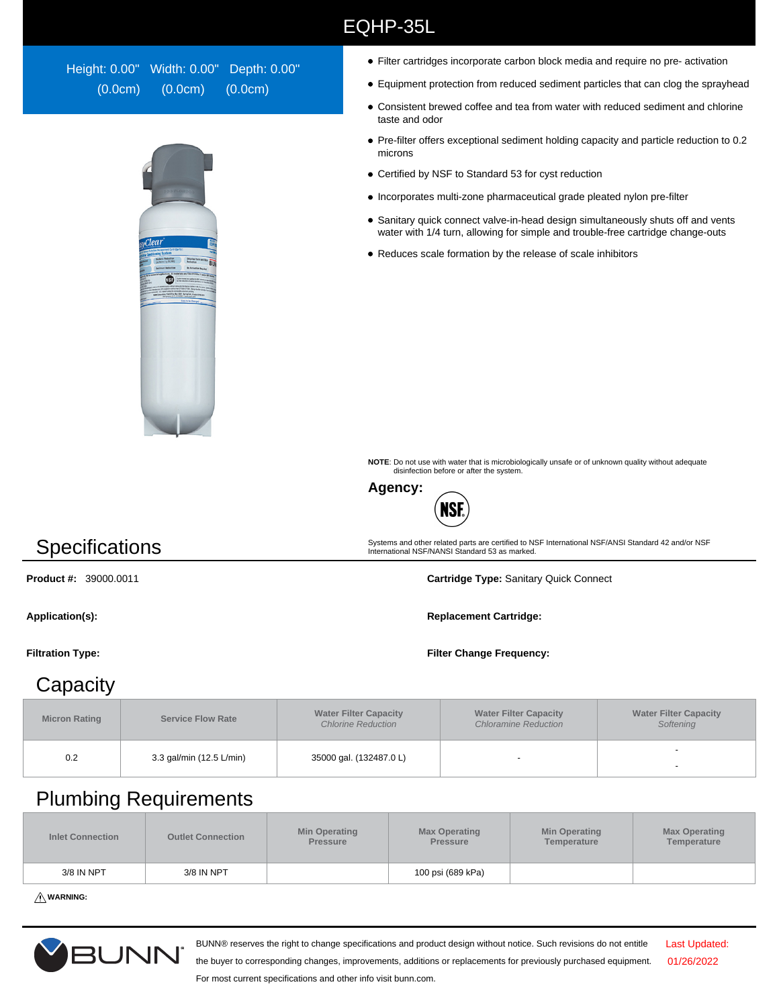## EQHP-35L

Height: 0.00" Width: 0.00" Depth: 0.00" (0.0cm) (0.0cm) (0.0cm)



- Filter cartridges incorporate carbon block media and require no pre- activation
- Equipment protection from reduced sediment particles that can clog the sprayhead
- Consistent brewed coffee and tea from water with reduced sediment and chlorine taste and odor
- Pre-filter offers exceptional sediment holding capacity and particle reduction to 0.2 microns
- Certified by NSF to Standard 53 for cyst reduction
- $\bullet$  Incorporates multi-zone pharmaceutical grade pleated nylon pre-filter
- Sanitary quick connect valve-in-head design simultaneously shuts off and vents water with 1/4 turn, allowing for simple and trouble-free cartridge change-outs
- Reduces scale formation by the release of scale inhibitors

**NOTE**: Do not use with water that is microbiologically unsafe or of unknown quality without adequate disinfection before or after the system.



**Specifications** 

Systems and other related parts are certified to NSF International NSF/ANSI Standard 42 and/or NSF International NSF/NANSI Standard 53 as marked.

**Product #:** 39000.0011 **Cartridge Type:** Sanitary Quick Connect

Application(s): **Replacement Cartridge: Replacement Cartridge: Replacement Cartridge:** 

**Filtration Type: Filter Change Frequency:**

## **Capacity**

| <b>Micron Rating</b> | <b>Service Flow Rate</b> | <b>Water Filter Capacity</b><br><b>Chlorine Reduction</b> | <b>Water Filter Capacity</b><br><b>Chloramine Reduction</b> | <b>Water Filter Capacity</b><br>Softening |  |
|----------------------|--------------------------|-----------------------------------------------------------|-------------------------------------------------------------|-------------------------------------------|--|
| 0.2                  | 3.3 gal/min (12.5 L/min) | 35000 gal. (132487.0 L)                                   |                                                             | -                                         |  |

## Plumbing Requirements

| <b>Inlet Connection</b> | <b>Outlet Connection</b> | <b>Min Operating</b><br><b>Pressure</b> | <b>Max Operating</b><br><b>Pressure</b> | <b>Min Operating</b><br>Temperature | <b>Max Operating</b><br>Temperature |
|-------------------------|--------------------------|-----------------------------------------|-----------------------------------------|-------------------------------------|-------------------------------------|
| 3/8 IN NPT              | 3/8 IN NPT               |                                         | 100 psi (689 kPa)                       |                                     |                                     |

**WARNING:**



BUNN® reserves the right to change specifications and product design without notice. Such revisions do not entitle

Last Updated: 01/26/2022

the buyer to corresponding changes, improvements, additions or replacements for previously purchased equipment. For most current specifications and other info visit bunn.com.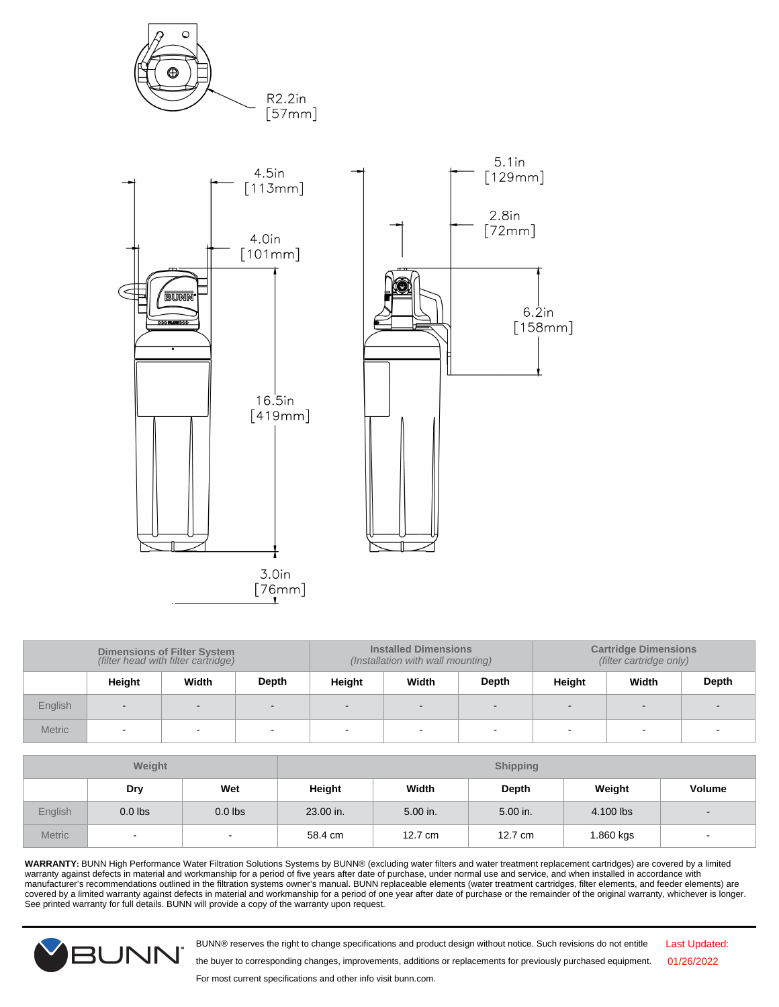

| Dimensions of Filter System<br>(filter head with filter cartridge) |        |       |       | <b>Installed Dimensions</b><br>(Installation with wall mounting) |       | <b>Cartridge Dimensions</b><br>(filter cartridge only) |        |       |       |
|--------------------------------------------------------------------|--------|-------|-------|------------------------------------------------------------------|-------|--------------------------------------------------------|--------|-------|-------|
|                                                                    | Height | Width | Depth | Height                                                           | Width | Depth                                                  | Height | Width | Depth |
| English                                                            | $\sim$ | -     |       | $\sim$                                                           |       | $\sim$                                                 |        |       |       |
| <b>Metric</b>                                                      |        |       |       |                                                                  |       |                                                        |        |       |       |

| Weight        |           |                          |           |          | <b>Shipping</b> |           |                          |
|---------------|-----------|--------------------------|-----------|----------|-----------------|-----------|--------------------------|
|               | Dry       | Wet                      | Height    | Width    | Depth           | Weight    | <b>Volume</b>            |
| English       | $0.0$ lbs | $0.0$ lbs                | 23.00 in. | 5.00 in. | 5.00 in.        | 4.100 lbs |                          |
| <b>Metric</b> | $\sim$    | $\overline{\phantom{a}}$ | 58.4 cm   | 12.7 cm  | 12.7 cm         | 1.860 kgs | $\overline{\phantom{a}}$ |

**WARRANTY:** BUNN High Performance Water Filtration Solutions Systems by BUNN® (excluding water filters and water treatment replacement cartridges) are covered by a limited warranty against defects in material and workmanship for a period of five years after date of purchase, under normal use and service, and when installed in accordance with<br>manufacturer's recommendations outlined in the fil covered by a limited warranty against defects in material and workmanship for a period of one year after date of purchase or the remainder of the original warranty, whichever is longer. See printed warranty for full details. BUNN will provide a copy of the warranty upon request.



BUNN® reserves the right to change specifications and product design without notice. Such revisions do not entitle

Last Updated: 01/26/2022

For most current specifications and other info visit bunn.com.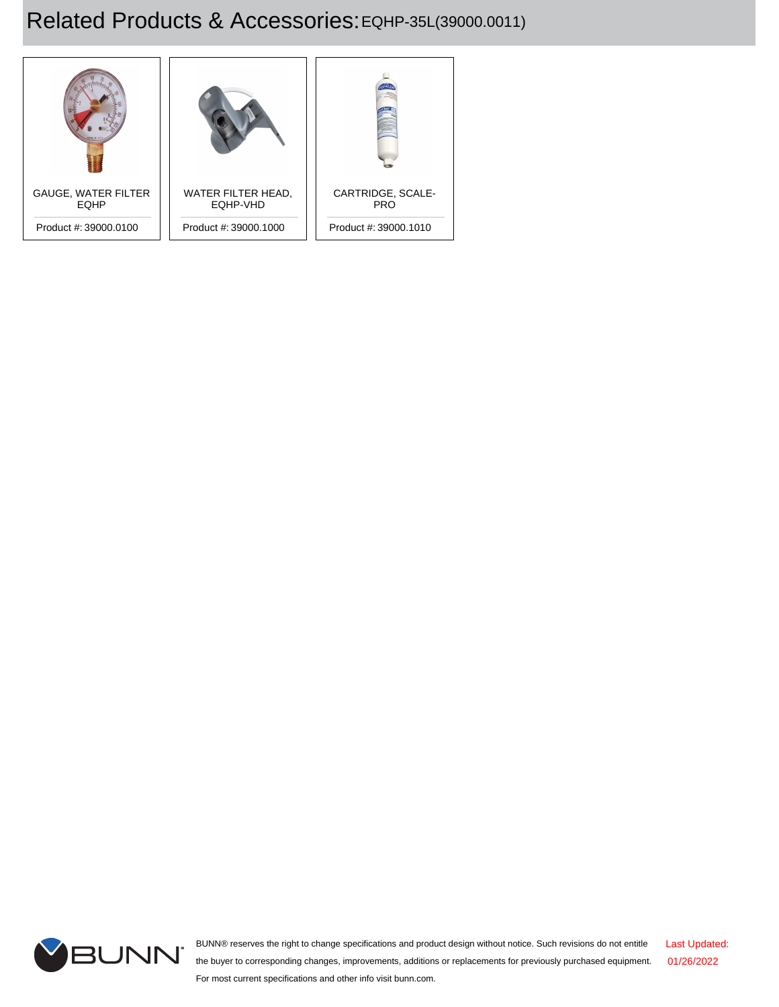## Related Products & Accessories: EQHP-35L(39000.0011)





BUNN® reserves the right to change specifications and product design without notice. Such revisions do not entitle the buyer to corresponding changes, improvements, additions or replacements for previously purchased equipment. For most current specifications and other info visit bunn.com. Last Updated: 01/26/2022